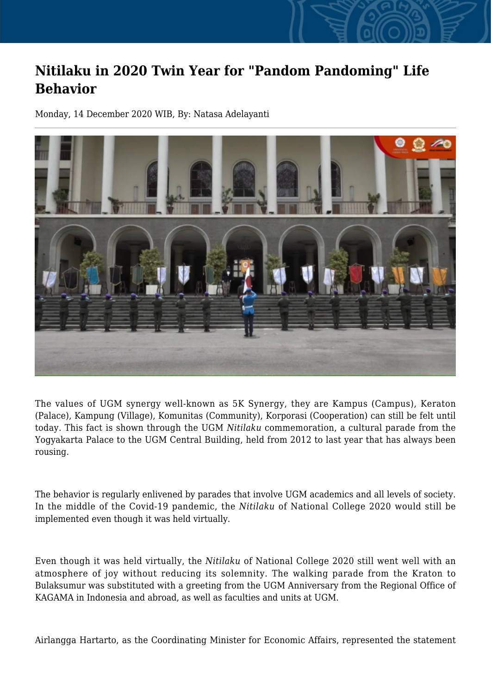## **Nitilaku in 2020 Twin Year for "Pandom Pandoming" Life Behavior**

Monday, 14 December 2020 WIB, By: Natasa Adelayanti



The values of UGM synergy well-known as 5K Synergy, they are Kampus (Campus), Keraton (Palace), Kampung (Village), Komunitas (Community), Korporasi (Cooperation) can still be felt until today. This fact is shown through the UGM *Nitilaku* commemoration, a cultural parade from the Yogyakarta Palace to the UGM Central Building, held from 2012 to last year that has always been rousing.

The behavior is regularly enlivened by parades that involve UGM academics and all levels of society. In the middle of the Covid-19 pandemic, the *Nitilaku* of National College 2020 would still be implemented even though it was held virtually.

Even though it was held virtually, the *Nitilaku* of National College 2020 still went well with an atmosphere of joy without reducing its solemnity. The walking parade from the Kraton to Bulaksumur was substituted with a greeting from the UGM Anniversary from the Regional Office of KAGAMA in Indonesia and abroad, as well as faculties and units at UGM.

Airlangga Hartarto, as the Coordinating Minister for Economic Affairs, represented the statement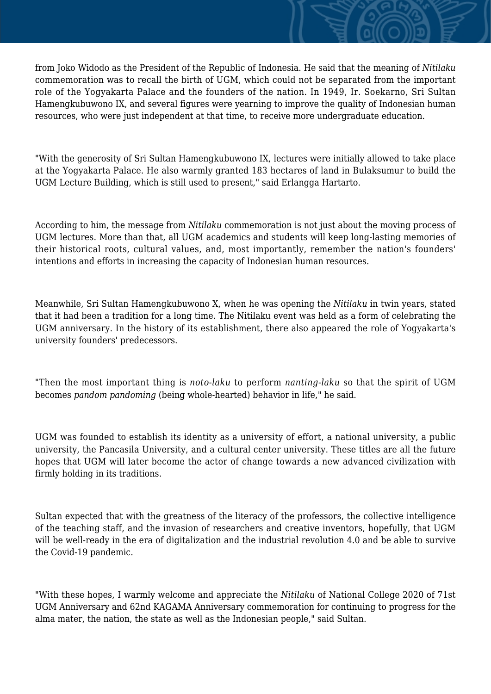from Joko Widodo as the President of the Republic of Indonesia. He said that the meaning of *Nitilaku* commemoration was to recall the birth of UGM, which could not be separated from the important role of the Yogyakarta Palace and the founders of the nation. In 1949, Ir. Soekarno, Sri Sultan Hamengkubuwono IX, and several figures were yearning to improve the quality of Indonesian human resources, who were just independent at that time, to receive more undergraduate education.

"With the generosity of Sri Sultan Hamengkubuwono IX, lectures were initially allowed to take place at the Yogyakarta Palace. He also warmly granted 183 hectares of land in Bulaksumur to build the UGM Lecture Building, which is still used to present," said Erlangga Hartarto.

According to him, the message from *Nitilaku* commemoration is not just about the moving process of UGM lectures. More than that, all UGM academics and students will keep long-lasting memories of their historical roots, cultural values, and, most importantly, remember the nation's founders' intentions and efforts in increasing the capacity of Indonesian human resources.

Meanwhile, Sri Sultan Hamengkubuwono X, when he was opening the *Nitilaku* in twin years, stated that it had been a tradition for a long time. The Nitilaku event was held as a form of celebrating the UGM anniversary. In the history of its establishment, there also appeared the role of Yogyakarta's university founders' predecessors.

"Then the most important thing is *noto-laku* to perform *nanting-laku* so that the spirit of UGM becomes *pandom pandoming* (being whole-hearted) behavior in life," he said.

UGM was founded to establish its identity as a university of effort, a national university, a public university, the Pancasila University, and a cultural center university. These titles are all the future hopes that UGM will later become the actor of change towards a new advanced civilization with firmly holding in its traditions.

Sultan expected that with the greatness of the literacy of the professors, the collective intelligence of the teaching staff, and the invasion of researchers and creative inventors, hopefully, that UGM will be well-ready in the era of digitalization and the industrial revolution 4.0 and be able to survive the Covid-19 pandemic.

"With these hopes, I warmly welcome and appreciate the *Nitilaku* of National College 2020 of 71st UGM Anniversary and 62nd KAGAMA Anniversary commemoration for continuing to progress for the alma mater, the nation, the state as well as the Indonesian people," said Sultan.